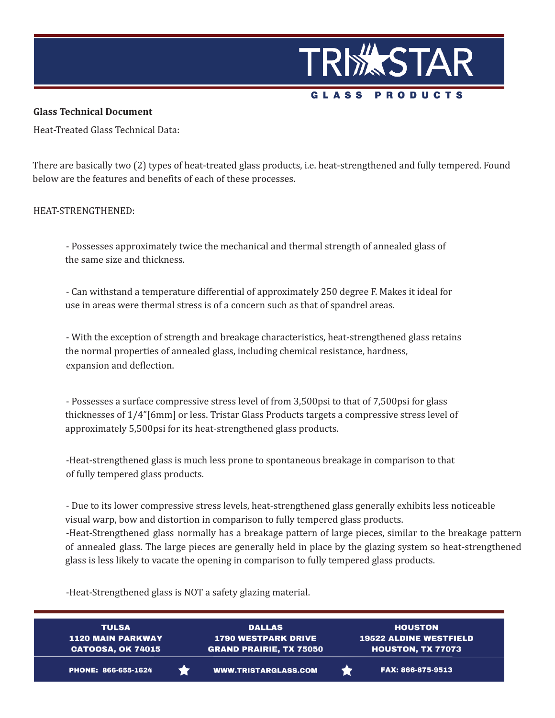

## **Glass Technical Document**

Heat-Treated Glass Technical Data:

There are basically two (2) types of heat-treated glass products, i.e. heat-strengthened and fully tempered. Found below are the features and benefits of each of these processes.

## HEAT-STRENGTHENED:

- Possesses approximately twice the mechanical and thermal strength of annealed glass of the same size and thickness.

- Can withstand a temperature differential of approximately 250 degree F. Makes it ideal for use in areas were thermal stress is of a concern such as that of spandrel areas.

- With the exception of strength and breakage characteristics, heat-strengthened glass retains the normal properties of annealed glass, including chemical resistance, hardness, expansion and deflection.

- Possesses a surface compressive stress level of from 3,500psi to that of 7,500psi for glass thicknesses of 1/4"[6mm] or less. Tristar Glass Products targets a compressive stress level of approximately 5,500psi for its heat-strengthened glass products.

-Heat-strengthened glass is much less prone to spontaneous breakage in comparison to that of fully tempered glass products.

- Due to its lower compressive stress levels, heat-strengthened glass generally exhibits less noticeable visual warp, bow and distortion in comparison to fully tempered glass products.

-Heat-Strengthened glass normally has a breakage pattern of large pieces, similar to the breakage pattern of annealed glass. The large pieces are generally held in place by the glazing system so heat-strengthened glass is less likely to vacate the opening in comparison to fully tempered glass products.

-Heat-Strengthened glass is NOT a safety glazing material.

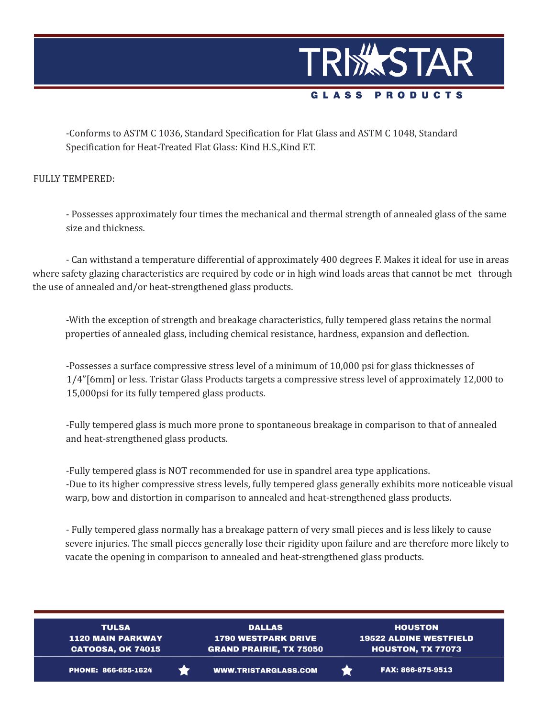

-Conforms to ASTM C 1036, Standard Specification for Flat Glass and ASTM C 1048, Standard Specification for Heat-Treated Flat Glass: Kind H.S.,Kind F.T.

FULLY TEMPERED:

- Possesses approximately four times the mechanical and thermal strength of annealed glass of the same size and thickness.

- Can withstand a temperature differential of approximately 400 degrees F. Makes it ideal for use in areas where safety glazing characteristics are required by code or in high wind loads areas that cannot be met through the use of annealed and/or heat-strengthened glass products.

-With the exception of strength and breakage characteristics, fully tempered glass retains the normal properties of annealed glass, including chemical resistance, hardness, expansion and deflection.

-Possesses a surface compressive stress level of a minimum of 10,000 psi for glass thicknesses of 1/4"[6mm] or less. Tristar Glass Products targets a compressive stress level of approximately 12,000 to 15,000psi for its fully tempered glass products.

-Fully tempered glass is much more prone to spontaneous breakage in comparison to that of annealed and heat-strengthened glass products.

-Fully tempered glass is NOT recommended for use in spandrel area type applications. -Due to its higher compressive stress levels, fully tempered glass generally exhibits more noticeable visual warp, bow and distortion in comparison to annealed and heat-strengthened glass products.

- Fully tempered glass normally has a breakage pattern of very small pieces and is less likely to cause severe injuries. The small pieces generally lose their rigidity upon failure and are therefore more likely to vacate the opening in comparison to annealed and heat-strengthened glass products.